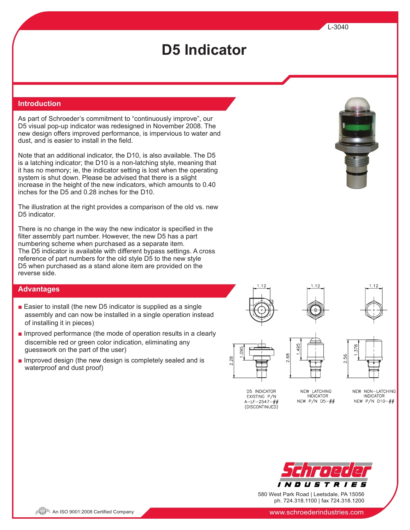As part of Schroeder's commitment to "continuously improve", our D5 visual pop-up indicator was redesigned in November 2008. The new design offers improved performance, is impervious to water and dust, and is easier to install in the field.

Note that an additional indicator, the D10, is also available. The D5 is a latching indicator; the D10 is a non-latching style, meaning that it has no memory; ie, the indicator setting is lost when the operating system is shut down. Please be advised that there is a slight increase in the height of the new indicators, which amounts to 0.40 inches for the D5 and 0.28 inches for the D10.

The illustration at the right provides a comparison of the old vs. new D5 indicator.

There is no change in the way the new indicator is specified in the filter assembly part number. However, the new D5 has a part numbering scheme when purchased as a separate item. The D5 indicator is available with different bypass settings. A cross reference of part numbers for the old style D5 to the new style D5 when purchased as a stand alone item are provided on the reverse side.

### **Advantages**

- Easier to install (the new D5 indicator is supplied as a single assembly and can now be installed in a single operation instead of installing it in pieces)
- Improved performance (the mode of operation results in a clearly discernible red or green color indication, eliminating any guesswork on the part of the user)
- Improved design (the new design is completely sealed and is waterproof and dust proof)









89.



D5 INDICATOR EXISTING P/N  $A-LF-2547-HH$ (DISCONTINUED)

NEW LATCHING **INDICATOR** NEW P/N  $D5-\##$ 

NEW NON-LATCHING **INDICATOR** NEW P/N D10-##



580 West Park Road | Leetsdale, PA 15056 ph. 724.318.1100 | fax 724.318.1200



L-3040